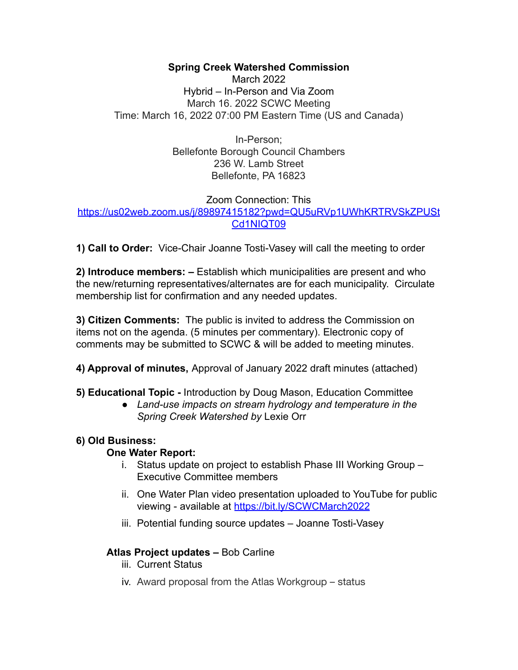# **Spring Creek Watershed Commission**

March 2022 Hybrid – In-Person and Via Zoom March 16. 2022 SCWC Meeting Time: March 16, 2022 07:00 PM Eastern Time (US and Canada)

> In-Person; Bellefonte Borough Council Chambers 236 W. Lamb Street Bellefonte, PA 16823

# Zoom Connection: This [https://us02web.zoom.us/j/89897415182?pwd=QU5uRVp1UWhKRTRVSkZPUSt](https://us02web.zoom.us/j/89897415182?pwd=QU5uRVp1UWhKRTRVSkZPUStCd1NIQT09) [Cd1NIQT09](https://us02web.zoom.us/j/89897415182?pwd=QU5uRVp1UWhKRTRVSkZPUStCd1NIQT09)

**1) Call to Order:** Vice-Chair Joanne Tosti-Vasey will call the meeting to order

**2) Introduce members: –** Establish which municipalities are present and who the new/returning representatives/alternates are for each municipality. Circulate membership list for confirmation and any needed updates.

**3) Citizen Comments:** The public is invited to address the Commission on items not on the agenda. (5 minutes per commentary). Electronic copy of comments may be submitted to SCWC & will be added to meeting minutes.

- **4) Approval of minutes,** Approval of January 2022 draft minutes (attached)
- **5) Educational Topic -** Introduction by Doug Mason, Education Committee
	- *● Land-use impacts on stream hydrology and temperature in the Spring Creek Watershed by* Lexie Orr

# **6) Old Business:**

# **One Water Report:**

- i. Status update on project to establish Phase III Working Group Executive Committee members
- ii. One Water Plan video presentation uploaded to YouTube for public viewing - available at <https://bit.ly/SCWCMarch2022>
- iii. Potential funding source updates Joanne Tosti-Vasey

# **Atlas Project updates –** Bob Carline

- iii. Current Status
- iv. Award proposal from the Atlas Workgroup status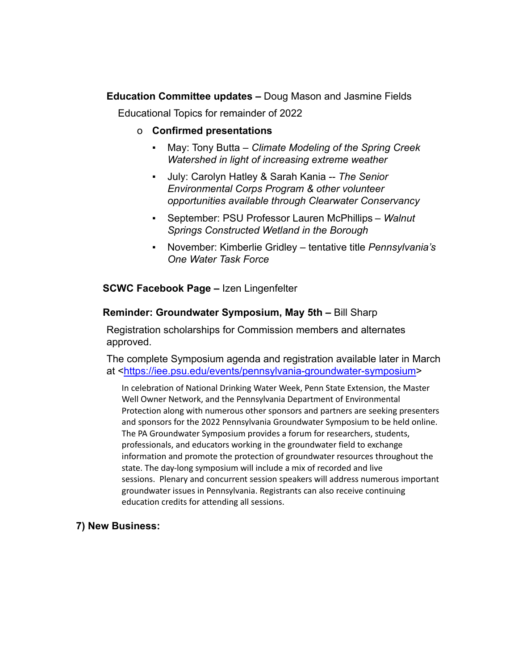**Education Committee updates –** Doug Mason and Jasmine Fields Educational Topics for remainder of 2022

- o **Confirmed presentations**
	- May: Tony Butta *Climate Modeling of the Spring Creek Watershed in light of increasing extreme weather*
	- July: Carolyn Hatley & Sarah Kania -- *The Senior Environmental Corps Program & other volunteer opportunities available through Clearwater Conservancy*
	- September: PSU Professor Lauren McPhillips *Walnut Springs Constructed Wetland in the Borough*
	- November: Kimberlie Gridley tentative title *Pennsylvania's One Water Task Force*

**SCWC Facebook Page –** Izen Lingenfelter

#### **Reminder: Groundwater Symposium, May 5th –** Bill Sharp

Registration scholarships for Commission members and alternates approved.

The complete Symposium agenda and registration available later in March at [<https://iee.psu.edu/events/pennsylvania-groundwater-symposium>](https://iee.psu.edu/events/pennsylvania-groundwater-symposium)

In celebration of National Drinking Water Week, Penn State Extension, the Master Well Owner Network, and the Pennsylvania Department of Environmental Protection along with numerous other sponsors and partners are seeking presenters and sponsors for the 2022 Pennsylvania Groundwater Symposium to be held online. The PA Groundwater Symposium provides a forum for researchers, students, professionals, and educators working in the groundwater field to exchange information and promote the protection of groundwater resources throughout the state. The day-long symposium will include a mix of recorded and live sessions. Plenary and concurrent session speakers will address numerous important groundwater issues in Pennsylvania. Registrants can also receive continuing education credits for attending all sessions.

# **7) New Business:**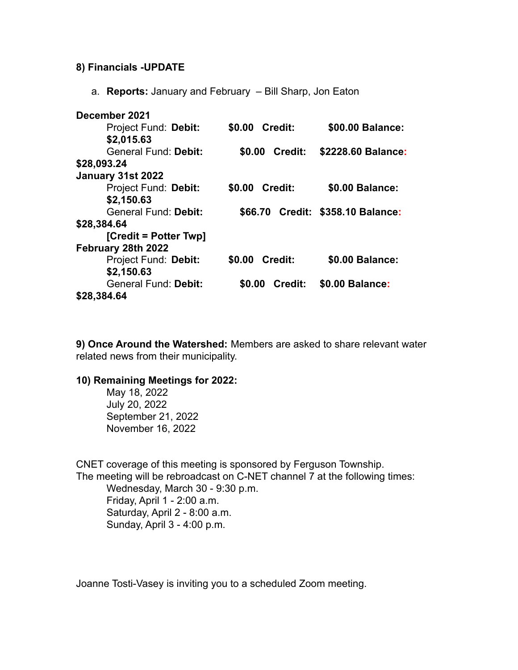#### **8) Financials -UPDATE**

a. **Reports:** January and February – Bill Sharp, Jon Eaton

| December 2021               |                          |                                   |
|-----------------------------|--------------------------|-----------------------------------|
| Project Fund: Debit:        | \$0.00 Credit:           | \$00.00 Balance:                  |
| \$2,015.63                  |                          |                                   |
| <b>General Fund: Debit:</b> | \$0.00<br>Credit:        | \$2228.60 Balance:                |
| \$28,093.24                 |                          |                                   |
| January 31st 2022           |                          |                                   |
| Project Fund: Debit:        | <b>Credit:</b><br>\$0.00 | \$0.00 Balance:                   |
| \$2,150.63                  |                          |                                   |
| General Fund: Debit:        |                          | \$66.70 Credit: \$358.10 Balance: |
| \$28,384.64                 |                          |                                   |
| [Credit = Potter Twp]       |                          |                                   |
| February 28th 2022          |                          |                                   |
| Project Fund: Debit:        | <b>Credit:</b><br>\$0.00 | \$0.00 Balance:                   |
| \$2,150.63                  |                          |                                   |
| <b>General Fund: Debit:</b> | \$0.00<br>Credit:        | \$0.00 Balance:                   |
| \$28,384.64                 |                          |                                   |

**9) Once Around the Watershed:** Members are asked to share relevant water related news from their municipality.

#### **10) Remaining Meetings for 2022:**

May 18, 2022 July 20, 2022 September 21, 2022 November 16, 2022

CNET coverage of this meeting is sponsored by Ferguson Township. The meeting will be rebroadcast on C-NET channel 7 at the following times: Wednesday, March 30 - 9:30 p.m. Friday, April 1 - 2:00 a.m. Saturday, April 2 - 8:00 a.m. Sunday, April 3 - 4:00 p.m.

Joanne Tosti-Vasey is inviting you to a scheduled Zoom meeting.